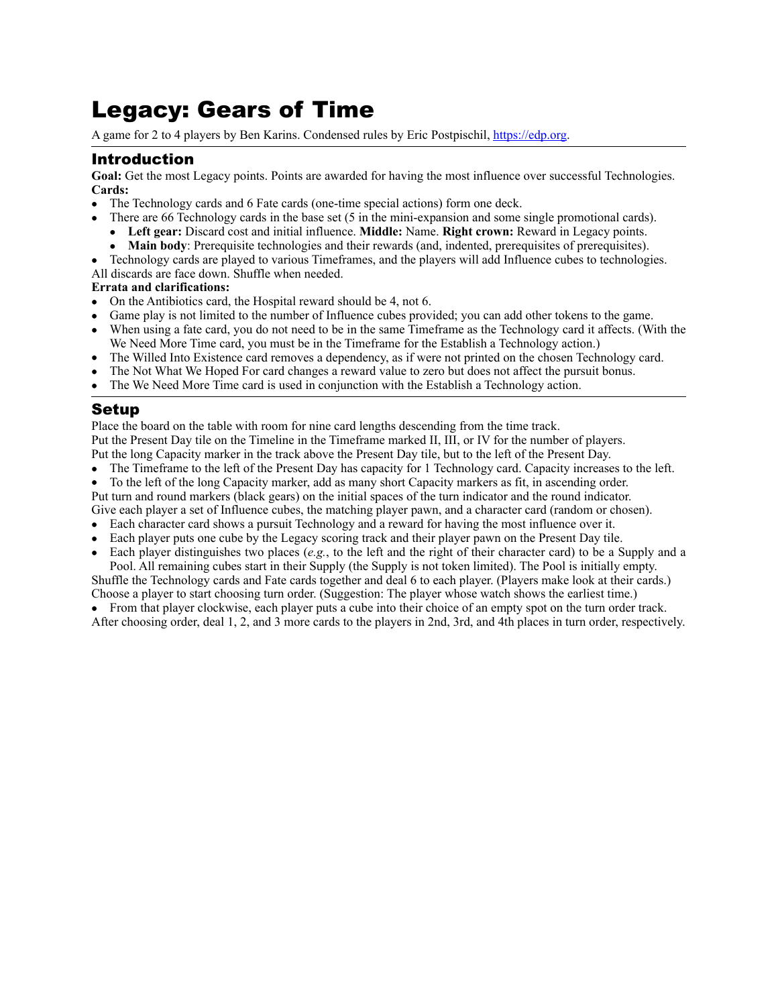# Legacy: Gears of Time

A game for 2 to 4 players by Ben Karins. Condensed rules by Eric Postpischil,<https://edp.org>.

# Introduction

Goal: Get the most Legacy points. Points are awarded for having the most influence over successful Technologies. **Cards:** 

- The Technology cards and 6 Fate cards (one-time special actions) form one deck.
- There are 66 Technology cards in the base set (5 in the mini-expansion and some single promotional cards).
- **Left gear:** Discard cost and initial influence. **Middle:** Name. **Right crown:** Reward in Legacy points.
- **Main body**: Prerequisite technologies and their rewards (and, indented, prerequisites of prerequisites).
- Technology cards are played to various Timeframes, and the players will add Influence cubes to technologies.

All discards are face down. Shuffle when needed.

## **Errata and clarifications:**

- On the Antibiotics card, the Hospital reward should be 4, not 6.
- Game play is not limited to the number of Influence cubes provided; you can add other tokens to the game.
- When using a fate card, you do not need to be in the same Timeframe as the Technology card it affects. (With the We Need More Time card, you must be in the Timeframe for the Establish a Technology action.)
- The Willed Into Existence card removes a dependency, as if were not printed on the chosen Technology card.
- The Not What We Hoped For card changes a reward value to zero but does not affect the pursuit bonus.
- The We Need More Time card is used in conjunction with the Establish a Technology action.

# Setup

Place the board on the table with room for nine card lengths descending from the time track. Put the Present Day tile on the Timeline in the Timeframe marked II, III, or IV for the number of players. Put the long Capacity marker in the track above the Present Day tile, but to the left of the Present Day.

- The Timeframe to the left of the Present Day has capacity for 1 Technology card. Capacity increases to the left.
- To the left of the long Capacity marker, add as many short Capacity markers as fit, in ascending order. Put turn and round markers (black gears) on the initial spaces of the turn indicator and the round indicator.

Give each player a set of Influence cubes, the matching player pawn, and a character card (random or chosen).

- Each character card shows a pursuit Technology and a reward for having the most influence over it.
- Each player puts one cube by the Legacy scoring track and their player pawn on the Present Day tile.
- Each player distinguishes two places (*e.g.*, to the left and the right of their character card) to be a Supply and a

Pool. All remaining cubes start in their Supply (the Supply is not token limited). The Pool is initially empty. Shuffle the Technology cards and Fate cards together and deal 6 to each player. (Players make look at their cards.) Choose a player to start choosing turn order. (Suggestion: The player whose watch shows the earliest time.)

• From that player clockwise, each player puts a cube into their choice of an empty spot on the turn order track.

After choosing order, deal 1, 2, and 3 more cards to the players in 2nd, 3rd, and 4th places in turn order, respectively.